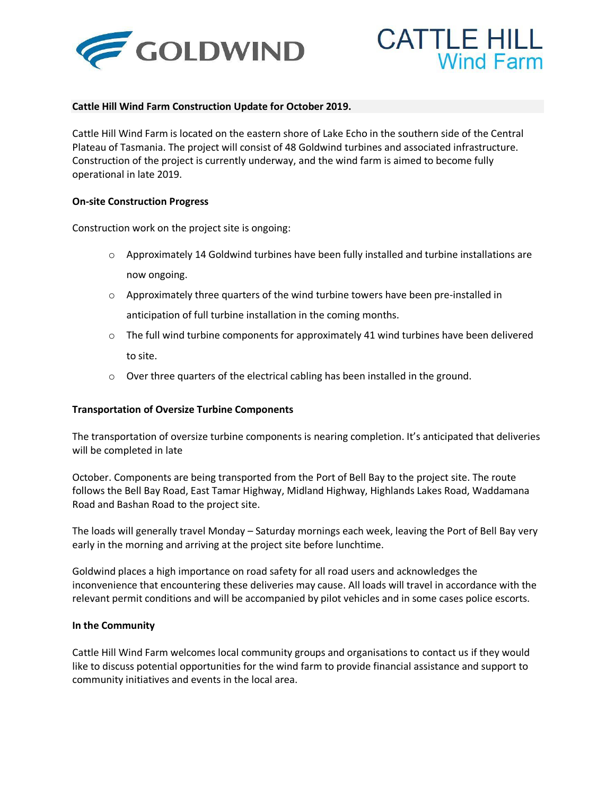



## **Cattle Hill Wind Farm Construction Update for October 2019.**

Cattle Hill Wind Farm is located on the eastern shore of Lake Echo in the southern side of the Central Plateau of Tasmania. The project will consist of 48 Goldwind turbines and associated infrastructure. Construction of the project is currently underway, and the wind farm is aimed to become fully operational in late 2019.

## **On-site Construction Progress**

Construction work on the project site is ongoing:

- $\circ$  Approximately 14 Goldwind turbines have been fully installed and turbine installations are now ongoing.
- $\circ$  Approximately three quarters of the wind turbine towers have been pre-installed in anticipation of full turbine installation in the coming months.
- $\circ$  The full wind turbine components for approximately 41 wind turbines have been delivered to site.
- o Over three quarters of the electrical cabling has been installed in the ground.

## **Transportation of Oversize Turbine Components**

The transportation of oversize turbine components is nearing completion. It's anticipated that deliveries will be completed in late

October. Components are being transported from the Port of Bell Bay to the project site. The route follows the Bell Bay Road, East Tamar Highway, Midland Highway, Highlands Lakes Road, Waddamana Road and Bashan Road to the project site.

The loads will generally travel Monday – Saturday mornings each week, leaving the Port of Bell Bay very early in the morning and arriving at the project site before lunchtime.

Goldwind places a high importance on road safety for all road users and acknowledges the inconvenience that encountering these deliveries may cause. All loads will travel in accordance with the relevant permit conditions and will be accompanied by pilot vehicles and in some cases police escorts.

## **In the Community**

Cattle Hill Wind Farm welcomes local community groups and organisations to contact us if they would like to discuss potential opportunities for the wind farm to provide financial assistance and support to community initiatives and events in the local area.